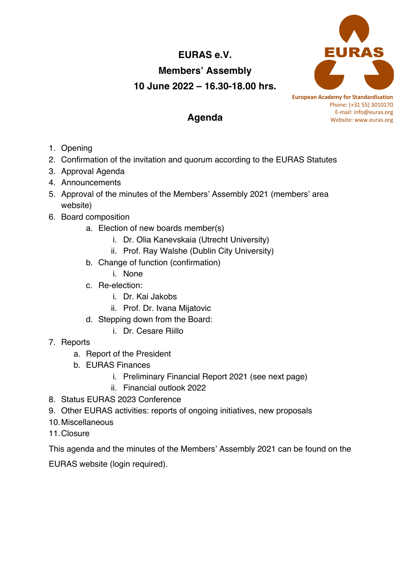# **EURAS e.V.**



**10 June 2022 – 16.30-18.00 hrs.**



**European Academy for Standardisation** Phone: (+31 55) 3010170 E-mail: info@euras.org Website: www.euras.org

## **Agenda**

- 1. Opening
- 2. Confirmation of the invitation and quorum according to the EURAS Statutes
- 3. Approval Agenda
- 4. Announcements
- 5. Approval of the minutes of the Members' Assembly 2021 (members' area website)
- 6. Board composition
	- a. Election of new boards member(s)
		- i. Dr. Olia Kanevskaia (Utrecht University)
		- ii. Prof. Ray Walshe (Dublin City University)
	- b. Change of function (confirmation)
		- i. None
	- c. Re-election:
		- i. Dr. Kai Jakobs
		- ii. Prof. Dr. Ivana Mijatovic
	- d. Stepping down from the Board:
		- i. Dr. Cesare Riillo
- 7. Reports
	- a. Report of the President
	- b. EURAS Finances
		- i. Preliminary Financial Report 2021 (see next page)
		- ii. Financial outlook 2022
- 8. Status EURAS 2023 Conference
- 9. Other EURAS activities: reports of ongoing initiatives, new proposals
- 10.Miscellaneous
- 11.Closure

This agenda and the minutes of the Members' Assembly 2021 can be found on the EURAS website (login required).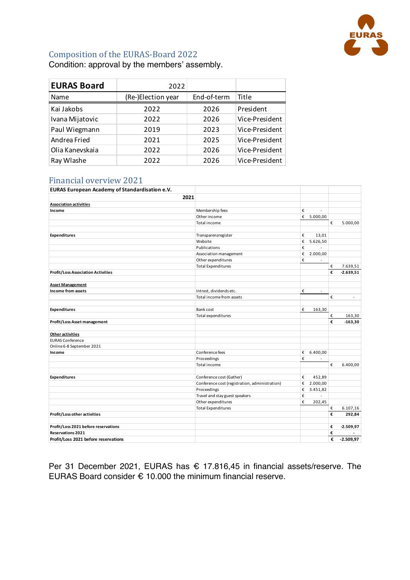

### Composition of the EURAS-Board 2022

Condition: approval by the members' assembly.

| <b>EURAS Board</b> | 2022               |             |                |
|--------------------|--------------------|-------------|----------------|
| <b>Name</b>        | (Re-)Election year | End-of-term | Title          |
| Kai Jakobs         | 2022               | 2026        | President      |
| Ivana Mijatovic    | 2022               | 2026        | Vice-President |
| Paul Wiegmann      | 2019               | 2023        | Vice-President |
| Andrea Fried       | 2021               | 2025        | Vice-President |
| Olia Kanevskaia    | 2022               | 2026        | Vice-President |
| Ray Wlashe         | 2022               | 2026        | Vice-President |

#### Financial overview 2021

| EURAS European Academy of Standardisation e.V. |                                                |   |                     |   |                |
|------------------------------------------------|------------------------------------------------|---|---------------------|---|----------------|
| 2021                                           |                                                |   |                     |   |                |
| <b>Association activities</b>                  |                                                |   |                     |   |                |
| Income                                         | Membership fees                                | € | ÷,                  |   |                |
|                                                | Other income                                   | € | 5.000,00            |   |                |
|                                                | Total income                                   |   |                     | € | 5.000,00       |
|                                                |                                                |   |                     |   |                |
| <b>Expenditures</b>                            | Transparenzregister                            | € | 13,01               |   |                |
|                                                | Website                                        | € | 5.626,50            |   |                |
|                                                | Publications                                   | € | $\sim$              |   |                |
|                                                | Association management                         | € | 2.000,00            |   |                |
|                                                | Other expenditures                             | € | $\overline{a}$      |   |                |
|                                                | <b>Total Expenditures</b>                      |   |                     | € | 7.639,51       |
| <b>Profit/Loss Association Activities</b>      |                                                |   |                     | € | $-2.639,51$    |
|                                                |                                                |   |                     |   |                |
| <b>Asset Management</b>                        |                                                |   |                     |   |                |
| <b>Income from assets</b>                      | Intrest, dividends etc.                        | € | $\omega$            |   |                |
|                                                | Total income from assets                       |   |                     | € | $\blacksquare$ |
|                                                |                                                |   |                     |   |                |
| <b>Expenditures</b>                            | Bank cost                                      | € | 163,30              |   |                |
|                                                | Total expenditures                             |   |                     | € | 163,30         |
| Profit/Loss Asset management                   |                                                |   |                     | € | $-163,30$      |
| Other activities                               |                                                |   |                     |   |                |
| <b>EURAS Conference</b>                        |                                                |   |                     |   |                |
| Online 6-8 September 2021                      |                                                |   |                     |   |                |
| Income                                         | Conference fees                                | € | 6.400,00            |   |                |
|                                                | Proceedings                                    | € | $\bar{\phantom{a}}$ |   |                |
|                                                | Total income                                   |   |                     | € | 6.400,00       |
| <b>Expenditures</b>                            | Conference cost (Gather)                       | € | 452,89              |   |                |
|                                                | Conference cost (registration, administration) | € | 2.000,00            |   |                |
|                                                | Proceedings                                    | € | 3.451,82            |   |                |
|                                                | Travel and stay guest speakers                 | € |                     |   |                |
|                                                | Other expenditures                             | € | 202,45              |   |                |
|                                                | <b>Total Expenditures</b>                      |   |                     | € | 6.107,16       |
| Profit/Loss other activities                   |                                                |   |                     | € | 292,84         |
|                                                |                                                |   |                     |   |                |
| Profit/Loss 2021 before reservations           |                                                |   |                     | € | $-2.509,97$    |
| Reservations 2021                              |                                                |   |                     | € | ÷              |
| Profit/Loss 2021 before reservations           |                                                |   |                     | € | $-2.509,97$    |

Per 31 December 2021, EURAS has € 17.816,45 in financial assets/reserve. The EURAS Board consider € 10.000 the minimum financial reserve.